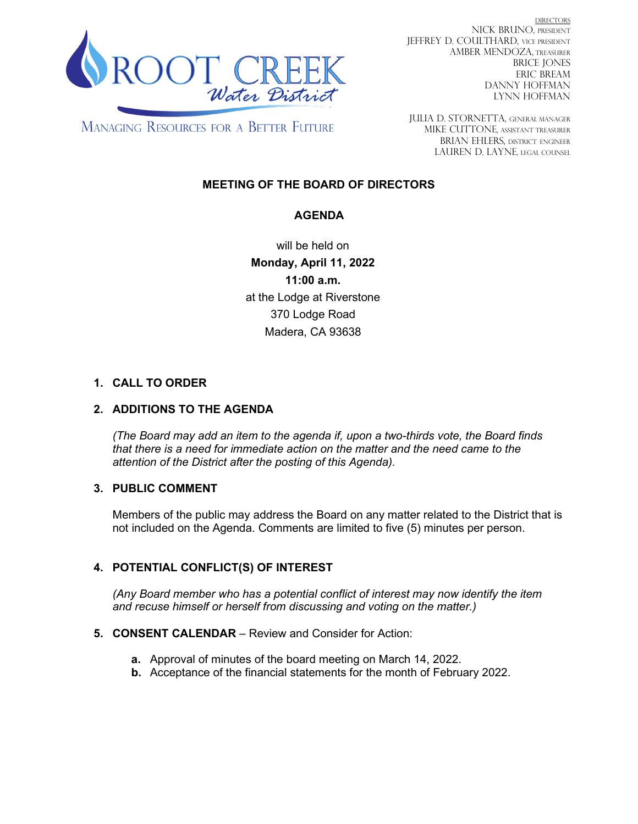

DIRECTORS NICK BRUNO, PRESIDENT JEFFREY D. COULTHARD, Vice President AMBER MENDOZA, TREASURER BRICE JONES ERIC BREAM DANNY HOFFMAN LYNN HOFFMAN

**MANAGING RESOURCES FOR A BETTER FUTURE** 

JULIA D. STORNETTA, GENERAL MANAGER MIKE CUTTONE, Assistant treasurer BRIAN EHLERS, DISTRICT ENGINEER LAUREN D. LAYNE, LEGAL COUNSEL

# **MEETING OF THE BOARD OF DIRECTORS**

## **AGENDA**

will be held on **Monday, April 11, 2022 11:00 a.m.**  at the Lodge at Riverstone 370 Lodge Road Madera, CA 93638

## **1. CALL TO ORDER**

## **2. ADDITIONS TO THE AGENDA**

*(The Board may add an item to the agenda if, upon a two-thirds vote, the Board finds that there is a need for immediate action on the matter and the need came to the attention of the District after the posting of this Agenda).*

## **3. PUBLIC COMMENT**

Members of the public may address the Board on any matter related to the District that is not included on the Agenda. Comments are limited to five (5) minutes per person.

## **4. POTENTIAL CONFLICT(S) OF INTEREST**

*(Any Board member who has a potential conflict of interest may now identify the item and recuse himself or herself from discussing and voting on the matter.)*

## **5. CONSENT CALENDAR** – Review and Consider for Action:

- **a.** Approval of minutes of the board meeting on March 14, 2022.
- **b.** Acceptance of the financial statements for the month of February 2022.